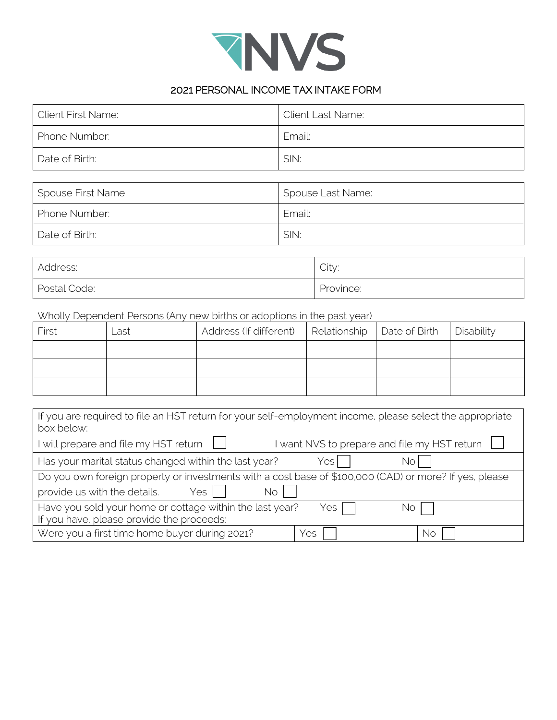

## 2021 PERSONAL INCOME TAX INTAKE FORM

| <b>Client First Name:</b> | <b>Client Last Name:</b> |
|---------------------------|--------------------------|
| Phone Number:             | Email:                   |
| Date of Birth:            | SIN:                     |
|                           |                          |
| Spouse First Name         | Spouse Last Name:        |
| Phone Number:             | Email:                   |
| Date of Birth:            | SIN:                     |

| Address:     | City:     |
|--------------|-----------|
| Postal Code: | Province: |

## Wholly Dependent Persons (Any new births or adoptions in the past year)

| First | ∟ast | Address (If different) | Relationship   Date of Birth   Disability |  |
|-------|------|------------------------|-------------------------------------------|--|
|       |      |                        |                                           |  |
|       |      |                        |                                           |  |
|       |      |                        |                                           |  |

| If you are required to file an HST return for your self-employment income, please select the appropriate<br>box below: |
|------------------------------------------------------------------------------------------------------------------------|
| I want NVS to prepare and file my HST return $\; \lfloor$<br>I will prepare and file my HST return                     |
| Has your marital status changed within the last year?<br>Yes<br>No                                                     |
| Do you own foreign property or investments with a cost base of \$100,000 (CAD) or more? If yes, please                 |
| provide us with the details.<br>Yes $ $<br>No.                                                                         |
| Have you sold your home or cottage within the last year?<br>Yes<br>NO                                                  |
| If you have, please provide the proceeds:                                                                              |
| Were you a first time home buyer during 2021?<br>Yes<br>. No                                                           |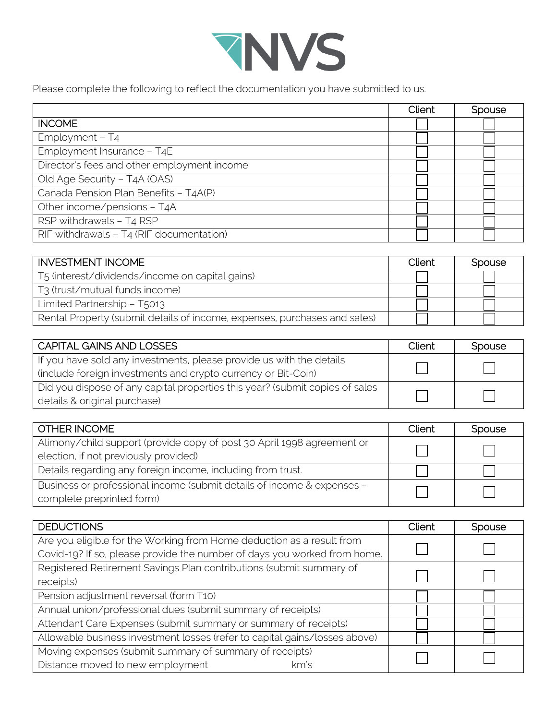

Please complete the following to reflect the documentation you have submitted to us.

|                                             | <b>Client</b> | Spouse |
|---------------------------------------------|---------------|--------|
| <b>INCOME</b>                               |               |        |
| Employment - T4                             |               |        |
| Employment Insurance - T4E                  |               |        |
| Director's fees and other employment income |               |        |
| Old Age Security - T4A (OAS)                |               |        |
| Canada Pension Plan Benefits - T4A(P)       |               |        |
| Other income/pensions - T4A                 |               |        |
| RSP withdrawals - T4 RSP                    |               |        |
| RIF withdrawals - T4 (RIF documentation)    |               |        |

| <b>INVESTMENT INCOME</b>                                                  | Client | Spouse |
|---------------------------------------------------------------------------|--------|--------|
| T5 (interest/dividends/income on capital gains)                           |        |        |
| T3 (trust/mutual funds income)                                            |        |        |
| Limited Partnership - T5013                                               |        |        |
| Rental Property (submit details of income, expenses, purchases and sales) |        |        |

| <b>CAPITAL GAINS AND LOSSES</b>                                              | Client | Spouse                      |
|------------------------------------------------------------------------------|--------|-----------------------------|
| If you have sold any investments, please provide us with the details         |        |                             |
| (include foreign investments and crypto currency or Bit-Coin)                |        | $\vert \hspace{.8cm} \vert$ |
| Did you dispose of any capital properties this year? (submit copies of sales |        |                             |
| details & original purchase)                                                 |        |                             |

| <b>OTHER INCOME</b>                                                                                             | Client | <b>Spouse</b> |
|-----------------------------------------------------------------------------------------------------------------|--------|---------------|
| Alimony/child support (provide copy of post 30 April 1998 agreement or<br>election, if not previously provided) |        |               |
| Details regarding any foreign income, including from trust.                                                     |        |               |
| Business or professional income (submit details of income & expenses -<br>complete preprinted form)             |        |               |

| <b>DEDUCTIONS</b>                                                          | Client | Spouse |
|----------------------------------------------------------------------------|--------|--------|
| Are you eligible for the Working from Home deduction as a result from      |        |        |
| Covid-19? If so, please provide the number of days you worked from home.   |        |        |
| Registered Retirement Savings Plan contributions (submit summary of        |        |        |
| receipts)                                                                  |        |        |
| Pension adjustment reversal (form T10)                                     |        |        |
| Annual union/professional dues (submit summary of receipts)                |        |        |
| Attendant Care Expenses (submit summary or summary of receipts)            |        |        |
| Allowable business investment losses (refer to capital gains/losses above) |        |        |
| Moving expenses (submit summary of summary of receipts)                    |        |        |
| Distance moved to new employment<br>km's                                   |        |        |